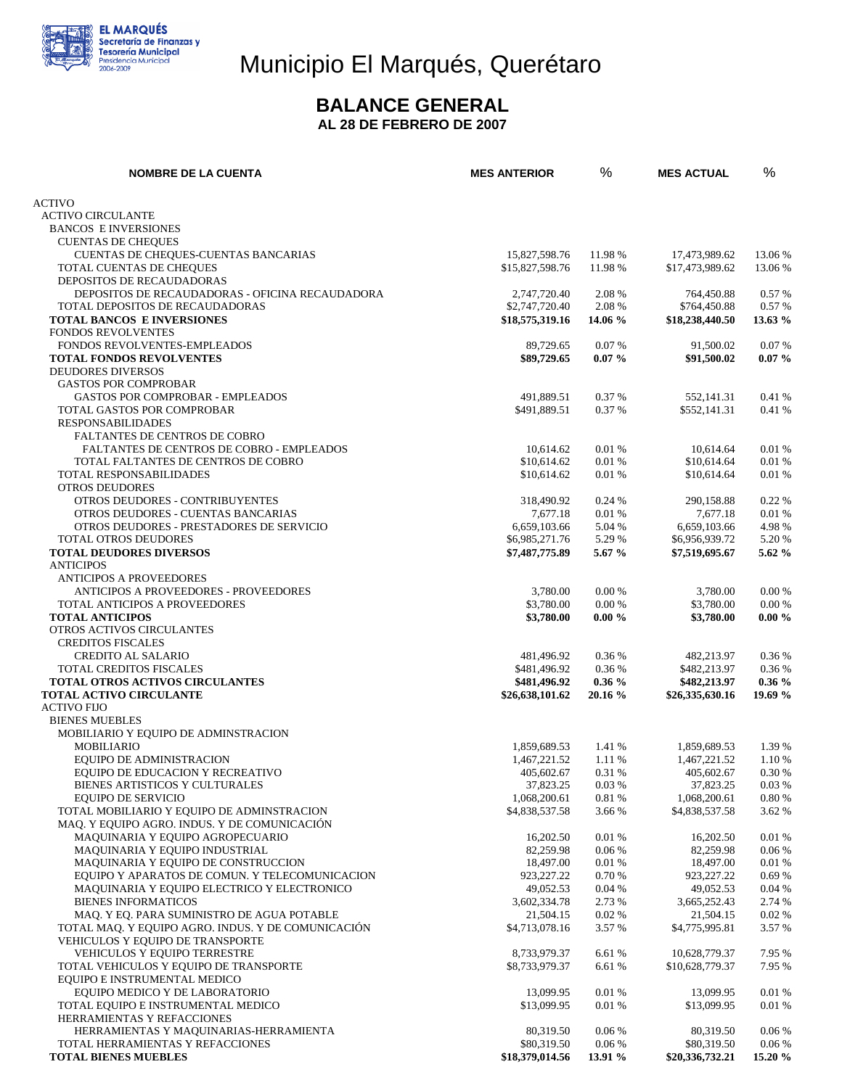

## Municipio El Marqués, Querétaro

### **BALANCE GENERAL**

**AL 28 DE FEBRERO DE 2007** 

| <b>ACTIVO</b><br><b>ACTIVO CIRCULANTE</b><br><b>BANCOS E INVERSIONES</b><br><b>CUENTAS DE CHEQUES</b><br>CUENTAS DE CHEQUES-CUENTAS BANCARIAS<br>15,827,598.76<br>11.98 %<br>17,473,989.62<br>13.06 %<br>TOTAL CUENTAS DE CHEQUES<br>11.98 %<br>\$15,827,598.76<br>\$17,473,989.62<br>13.06 %<br>DEPOSITOS DE RECAUDADORAS<br>DEPOSITOS DE RECAUDADORAS - OFICINA RECAUDADORA<br>2,747,720.40<br>2.08 %<br>764,450.88<br>0.57%<br>\$2,747,720.40<br>2.08 %<br>\$764,450.88<br>TOTAL DEPOSITOS DE RECAUDADORAS<br>0.57%<br><b>TOTAL BANCOS E INVERSIONES</b><br>\$18,575,319.16<br>13.63 %<br>14.06 %<br>\$18,238,440.50<br><b>FONDOS REVOLVENTES</b><br>FONDOS REVOLVENTES-EMPLEADOS<br>0.07%<br>0.07%<br>89,729.65<br>91,500.02<br><b>TOTAL FONDOS REVOLVENTES</b><br>\$89,729.65<br>$0.07 \%$<br>\$91,500.02<br>$0.07\%$<br><b>DEUDORES DIVERSOS</b><br><b>GASTOS POR COMPROBAR</b><br>GASTOS POR COMPROBAR - EMPLEADOS<br>491,889.51<br>0.37 %<br>552,141.31<br>0.41%<br>TOTAL GASTOS POR COMPROBAR<br>0.37 %<br>\$552,141.31<br>0.41 %<br>\$491,889.51<br><b>RESPONSABILIDADES</b><br>FALTANTES DE CENTROS DE COBRO<br>FALTANTES DE CENTROS DE COBRO - EMPLEADOS<br>0.01 %<br>10,614.62<br>10,614.64<br>0.01 %<br>0.01 %<br>TOTAL FALTANTES DE CENTROS DE COBRO<br>\$10,614.62<br>\$10,614.64<br>0.01%<br>TOTAL RESPONSABILIDADES<br>\$10,614.62<br>0.01%<br>\$10,614.64<br>0.01%<br><b>OTROS DEUDORES</b><br>OTROS DEUDORES - CONTRIBUYENTES<br>0.24 %<br>0.22 %<br>318,490.92<br>290,158.88<br>OTROS DEUDORES - CUENTAS BANCARIAS<br>0.01 %<br>0.01%<br>7,677.18<br>7,677.18<br>4.98%<br>OTROS DEUDORES - PRESTADORES DE SERVICIO<br>6.659.103.66<br>5.04 %<br>6,659,103.66<br>TOTAL OTROS DEUDORES<br>5.29 %<br>\$6,985,271.76<br>\$6,956,939.72<br>5.20 %<br><b>TOTAL DEUDORES DIVERSOS</b><br>5.62 %<br>\$7,487,775.89<br>5.67 %<br>\$7,519,695.67<br><b>ANTICIPOS</b><br><b>ANTICIPOS A PROVEEDORES</b><br><b>ANTICIPOS A PROVEEDORES - PROVEEDORES</b><br>0.00%<br>0.00%<br>3,780.00<br>3,780.00<br>\$3,780.00<br>0.00%<br>\$3,780.00<br>0.00%<br>TOTAL ANTICIPOS A PROVEEDORES<br><b>TOTAL ANTICIPOS</b><br>\$3,780.00<br>$0.00 \%$<br>$0.00 \%$<br>\$3,780.00<br>OTROS ACTIVOS CIRCULANTES<br><b>CREDITOS FISCALES</b><br><b>CREDITO AL SALARIO</b><br>481,496.92<br>0.36 %<br>482,213.97<br>0.36%<br>TOTAL CREDITOS FISCALES<br>\$481,496.92<br>0.36 %<br>\$482,213.97<br>0.36%<br><b>TOTAL OTROS ACTIVOS CIRCULANTES</b><br>0.36%<br>\$482,213.97<br>$0.36\%$<br>\$481,496.92<br><b>TOTAL ACTIVO CIRCULANTE</b><br>\$26,638,101.62<br>20.16 %<br>\$26,335,630.16<br>19.69 %<br><b>ACTIVO FIJO</b><br><b>BIENES MUEBLES</b><br>MOBILIARIO Y EQUIPO DE ADMINSTRACION<br><b>MOBILIARIO</b><br>1.41 %<br>1,859,689.53<br>1,859,689.53<br>1.39 %<br>EQUIPO DE ADMINISTRACION<br>1,467,221.52<br>1.11 %<br>1,467,221.52<br>1.10 %<br>EQUIPO DE EDUCACION Y RECREATIVO<br>405,602.67<br>0.31 %<br>405,602.67<br>0.30 %<br>BIENES ARTISTICOS Y CULTURALES<br>37,823.25<br>0.03%<br>37,823.25<br>0.03 %<br>0.81 %<br><b>EQUIPO DE SERVICIO</b><br>1,068,200.61<br>1,068,200.61<br>0.80 %<br>TOTAL MOBILIARIO Y EQUIPO DE ADMINSTRACION<br>\$4,838,537.58<br>3.66 %<br>\$4,838,537.58<br>3.62 %<br>MAQ. Y EQUIPO AGRO. INDUS. Y DE COMUNICACIÓN<br>MAQUINARIA Y EQUIPO AGROPECUARIO<br>0.01%<br>0.01%<br>16,202.50<br>16,202.50<br>0.06%<br>MAQUINARIA Y EQUIPO INDUSTRIAL<br>82,259.98<br>82,259.98<br>0.06 %<br>MAQUINARIA Y EQUIPO DE CONSTRUCCION<br>0.01%<br>18,497.00<br>18,497.00<br>0.01%<br>EQUIPO Y APARATOS DE COMUN. Y TELECOMUNICACION<br>0.70%<br>923, 227. 22<br>923,227.22<br>0.69%<br>MAQUINARIA Y EQUIPO ELECTRICO Y ELECTRONICO<br>49,052.53<br>0.04%<br>49,052.53<br>0.04%<br><b>BIENES INFORMATICOS</b><br>3,602,334.78<br>2.73 %<br>3,665,252.43<br>2.74 %<br>MAQ. Y EQ. PARA SUMINISTRO DE AGUA POTABLE<br>0.02%<br>21,504.15<br>21,504.15<br>0.02%<br>TOTAL MAQ. Y EQUIPO AGRO. INDUS. Y DE COMUNICACIÓN<br>\$4,713,078.16<br>3.57 %<br>\$4,775,995.81<br>3.57 %<br>VEHICULOS Y EQUIPO DE TRANSPORTE<br>VEHICULOS Y EQUIPO TERRESTRE<br>8,733,979.37<br>6.61 %<br>10,628,779.37<br>7.95 %<br>TOTAL VEHICULOS Y EQUIPO DE TRANSPORTE<br>\$8,733,979.37<br>6.61 %<br>\$10,628,779.37<br>7.95 %<br>EQUIPO E INSTRUMENTAL MEDICO<br>EQUIPO MEDICO Y DE LABORATORIO<br>13,099.95<br>0.01%<br>13,099.95<br>0.01%<br>0.01%<br>TOTAL EQUIPO E INSTRUMENTAL MEDICO<br>\$13,099.95<br>\$13,099.95<br>0.01%<br>HERRAMIENTAS Y REFACCIONES<br>HERRAMIENTAS Y MAQUINARIAS-HERRAMIENTA<br>80,319.50<br>0.06%<br>80,319.50<br>0.06 %<br>TOTAL HERRAMIENTAS Y REFACCIONES<br>\$80,319.50<br>0.06%<br>\$80,319.50<br>0.06 %<br><b>TOTAL BIENES MUEBLES</b><br>15.20 %<br>\$18,379,014.56<br>13.91 %<br>\$20,336,732.21 | <b>NOMBRE DE LA CUENTA</b> | <b>MES ANTERIOR</b> | % | <b>MES ACTUAL</b> | % |
|------------------------------------------------------------------------------------------------------------------------------------------------------------------------------------------------------------------------------------------------------------------------------------------------------------------------------------------------------------------------------------------------------------------------------------------------------------------------------------------------------------------------------------------------------------------------------------------------------------------------------------------------------------------------------------------------------------------------------------------------------------------------------------------------------------------------------------------------------------------------------------------------------------------------------------------------------------------------------------------------------------------------------------------------------------------------------------------------------------------------------------------------------------------------------------------------------------------------------------------------------------------------------------------------------------------------------------------------------------------------------------------------------------------------------------------------------------------------------------------------------------------------------------------------------------------------------------------------------------------------------------------------------------------------------------------------------------------------------------------------------------------------------------------------------------------------------------------------------------------------------------------------------------------------------------------------------------------------------------------------------------------------------------------------------------------------------------------------------------------------------------------------------------------------------------------------------------------------------------------------------------------------------------------------------------------------------------------------------------------------------------------------------------------------------------------------------------------------------------------------------------------------------------------------------------------------------------------------------------------------------------------------------------------------------------------------------------------------------------------------------------------------------------------------------------------------------------------------------------------------------------------------------------------------------------------------------------------------------------------------------------------------------------------------------------------------------------------------------------------------------------------------------------------------------------------------------------------------------------------------------------------------------------------------------------------------------------------------------------------------------------------------------------------------------------------------------------------------------------------------------------------------------------------------------------------------------------------------------------------------------------------------------------------------------------------------------------------------------------------------------------------------------------------------------------------------------------------------------------------------------------------------------------------------------------------------------------------------------------------------------------------------------------------------------------------------------------------------------------------------------------------------------------------------------------------------------------------------------------------------------------------------------------------------------------------------------------------------------------------------------------------------------------------------------------------------------------------------------------------------------------------------------------------------------------------------------------------------------------------------------------------------------------------------------------------------------------------------------------|----------------------------|---------------------|---|-------------------|---|
|                                                                                                                                                                                                                                                                                                                                                                                                                                                                                                                                                                                                                                                                                                                                                                                                                                                                                                                                                                                                                                                                                                                                                                                                                                                                                                                                                                                                                                                                                                                                                                                                                                                                                                                                                                                                                                                                                                                                                                                                                                                                                                                                                                                                                                                                                                                                                                                                                                                                                                                                                                                                                                                                                                                                                                                                                                                                                                                                                                                                                                                                                                                                                                                                                                                                                                                                                                                                                                                                                                                                                                                                                                                                                                                                                                                                                                                                                                                                                                                                                                                                                                                                                                                                                                                                                                                                                                                                                                                                                                                                                                                                                                                                                                                                    |                            |                     |   |                   |   |
|                                                                                                                                                                                                                                                                                                                                                                                                                                                                                                                                                                                                                                                                                                                                                                                                                                                                                                                                                                                                                                                                                                                                                                                                                                                                                                                                                                                                                                                                                                                                                                                                                                                                                                                                                                                                                                                                                                                                                                                                                                                                                                                                                                                                                                                                                                                                                                                                                                                                                                                                                                                                                                                                                                                                                                                                                                                                                                                                                                                                                                                                                                                                                                                                                                                                                                                                                                                                                                                                                                                                                                                                                                                                                                                                                                                                                                                                                                                                                                                                                                                                                                                                                                                                                                                                                                                                                                                                                                                                                                                                                                                                                                                                                                                                    |                            |                     |   |                   |   |
|                                                                                                                                                                                                                                                                                                                                                                                                                                                                                                                                                                                                                                                                                                                                                                                                                                                                                                                                                                                                                                                                                                                                                                                                                                                                                                                                                                                                                                                                                                                                                                                                                                                                                                                                                                                                                                                                                                                                                                                                                                                                                                                                                                                                                                                                                                                                                                                                                                                                                                                                                                                                                                                                                                                                                                                                                                                                                                                                                                                                                                                                                                                                                                                                                                                                                                                                                                                                                                                                                                                                                                                                                                                                                                                                                                                                                                                                                                                                                                                                                                                                                                                                                                                                                                                                                                                                                                                                                                                                                                                                                                                                                                                                                                                                    |                            |                     |   |                   |   |
|                                                                                                                                                                                                                                                                                                                                                                                                                                                                                                                                                                                                                                                                                                                                                                                                                                                                                                                                                                                                                                                                                                                                                                                                                                                                                                                                                                                                                                                                                                                                                                                                                                                                                                                                                                                                                                                                                                                                                                                                                                                                                                                                                                                                                                                                                                                                                                                                                                                                                                                                                                                                                                                                                                                                                                                                                                                                                                                                                                                                                                                                                                                                                                                                                                                                                                                                                                                                                                                                                                                                                                                                                                                                                                                                                                                                                                                                                                                                                                                                                                                                                                                                                                                                                                                                                                                                                                                                                                                                                                                                                                                                                                                                                                                                    |                            |                     |   |                   |   |
|                                                                                                                                                                                                                                                                                                                                                                                                                                                                                                                                                                                                                                                                                                                                                                                                                                                                                                                                                                                                                                                                                                                                                                                                                                                                                                                                                                                                                                                                                                                                                                                                                                                                                                                                                                                                                                                                                                                                                                                                                                                                                                                                                                                                                                                                                                                                                                                                                                                                                                                                                                                                                                                                                                                                                                                                                                                                                                                                                                                                                                                                                                                                                                                                                                                                                                                                                                                                                                                                                                                                                                                                                                                                                                                                                                                                                                                                                                                                                                                                                                                                                                                                                                                                                                                                                                                                                                                                                                                                                                                                                                                                                                                                                                                                    |                            |                     |   |                   |   |
|                                                                                                                                                                                                                                                                                                                                                                                                                                                                                                                                                                                                                                                                                                                                                                                                                                                                                                                                                                                                                                                                                                                                                                                                                                                                                                                                                                                                                                                                                                                                                                                                                                                                                                                                                                                                                                                                                                                                                                                                                                                                                                                                                                                                                                                                                                                                                                                                                                                                                                                                                                                                                                                                                                                                                                                                                                                                                                                                                                                                                                                                                                                                                                                                                                                                                                                                                                                                                                                                                                                                                                                                                                                                                                                                                                                                                                                                                                                                                                                                                                                                                                                                                                                                                                                                                                                                                                                                                                                                                                                                                                                                                                                                                                                                    |                            |                     |   |                   |   |
|                                                                                                                                                                                                                                                                                                                                                                                                                                                                                                                                                                                                                                                                                                                                                                                                                                                                                                                                                                                                                                                                                                                                                                                                                                                                                                                                                                                                                                                                                                                                                                                                                                                                                                                                                                                                                                                                                                                                                                                                                                                                                                                                                                                                                                                                                                                                                                                                                                                                                                                                                                                                                                                                                                                                                                                                                                                                                                                                                                                                                                                                                                                                                                                                                                                                                                                                                                                                                                                                                                                                                                                                                                                                                                                                                                                                                                                                                                                                                                                                                                                                                                                                                                                                                                                                                                                                                                                                                                                                                                                                                                                                                                                                                                                                    |                            |                     |   |                   |   |
|                                                                                                                                                                                                                                                                                                                                                                                                                                                                                                                                                                                                                                                                                                                                                                                                                                                                                                                                                                                                                                                                                                                                                                                                                                                                                                                                                                                                                                                                                                                                                                                                                                                                                                                                                                                                                                                                                                                                                                                                                                                                                                                                                                                                                                                                                                                                                                                                                                                                                                                                                                                                                                                                                                                                                                                                                                                                                                                                                                                                                                                                                                                                                                                                                                                                                                                                                                                                                                                                                                                                                                                                                                                                                                                                                                                                                                                                                                                                                                                                                                                                                                                                                                                                                                                                                                                                                                                                                                                                                                                                                                                                                                                                                                                                    |                            |                     |   |                   |   |
|                                                                                                                                                                                                                                                                                                                                                                                                                                                                                                                                                                                                                                                                                                                                                                                                                                                                                                                                                                                                                                                                                                                                                                                                                                                                                                                                                                                                                                                                                                                                                                                                                                                                                                                                                                                                                                                                                                                                                                                                                                                                                                                                                                                                                                                                                                                                                                                                                                                                                                                                                                                                                                                                                                                                                                                                                                                                                                                                                                                                                                                                                                                                                                                                                                                                                                                                                                                                                                                                                                                                                                                                                                                                                                                                                                                                                                                                                                                                                                                                                                                                                                                                                                                                                                                                                                                                                                                                                                                                                                                                                                                                                                                                                                                                    |                            |                     |   |                   |   |
|                                                                                                                                                                                                                                                                                                                                                                                                                                                                                                                                                                                                                                                                                                                                                                                                                                                                                                                                                                                                                                                                                                                                                                                                                                                                                                                                                                                                                                                                                                                                                                                                                                                                                                                                                                                                                                                                                                                                                                                                                                                                                                                                                                                                                                                                                                                                                                                                                                                                                                                                                                                                                                                                                                                                                                                                                                                                                                                                                                                                                                                                                                                                                                                                                                                                                                                                                                                                                                                                                                                                                                                                                                                                                                                                                                                                                                                                                                                                                                                                                                                                                                                                                                                                                                                                                                                                                                                                                                                                                                                                                                                                                                                                                                                                    |                            |                     |   |                   |   |
|                                                                                                                                                                                                                                                                                                                                                                                                                                                                                                                                                                                                                                                                                                                                                                                                                                                                                                                                                                                                                                                                                                                                                                                                                                                                                                                                                                                                                                                                                                                                                                                                                                                                                                                                                                                                                                                                                                                                                                                                                                                                                                                                                                                                                                                                                                                                                                                                                                                                                                                                                                                                                                                                                                                                                                                                                                                                                                                                                                                                                                                                                                                                                                                                                                                                                                                                                                                                                                                                                                                                                                                                                                                                                                                                                                                                                                                                                                                                                                                                                                                                                                                                                                                                                                                                                                                                                                                                                                                                                                                                                                                                                                                                                                                                    |                            |                     |   |                   |   |
|                                                                                                                                                                                                                                                                                                                                                                                                                                                                                                                                                                                                                                                                                                                                                                                                                                                                                                                                                                                                                                                                                                                                                                                                                                                                                                                                                                                                                                                                                                                                                                                                                                                                                                                                                                                                                                                                                                                                                                                                                                                                                                                                                                                                                                                                                                                                                                                                                                                                                                                                                                                                                                                                                                                                                                                                                                                                                                                                                                                                                                                                                                                                                                                                                                                                                                                                                                                                                                                                                                                                                                                                                                                                                                                                                                                                                                                                                                                                                                                                                                                                                                                                                                                                                                                                                                                                                                                                                                                                                                                                                                                                                                                                                                                                    |                            |                     |   |                   |   |
|                                                                                                                                                                                                                                                                                                                                                                                                                                                                                                                                                                                                                                                                                                                                                                                                                                                                                                                                                                                                                                                                                                                                                                                                                                                                                                                                                                                                                                                                                                                                                                                                                                                                                                                                                                                                                                                                                                                                                                                                                                                                                                                                                                                                                                                                                                                                                                                                                                                                                                                                                                                                                                                                                                                                                                                                                                                                                                                                                                                                                                                                                                                                                                                                                                                                                                                                                                                                                                                                                                                                                                                                                                                                                                                                                                                                                                                                                                                                                                                                                                                                                                                                                                                                                                                                                                                                                                                                                                                                                                                                                                                                                                                                                                                                    |                            |                     |   |                   |   |
|                                                                                                                                                                                                                                                                                                                                                                                                                                                                                                                                                                                                                                                                                                                                                                                                                                                                                                                                                                                                                                                                                                                                                                                                                                                                                                                                                                                                                                                                                                                                                                                                                                                                                                                                                                                                                                                                                                                                                                                                                                                                                                                                                                                                                                                                                                                                                                                                                                                                                                                                                                                                                                                                                                                                                                                                                                                                                                                                                                                                                                                                                                                                                                                                                                                                                                                                                                                                                                                                                                                                                                                                                                                                                                                                                                                                                                                                                                                                                                                                                                                                                                                                                                                                                                                                                                                                                                                                                                                                                                                                                                                                                                                                                                                                    |                            |                     |   |                   |   |
|                                                                                                                                                                                                                                                                                                                                                                                                                                                                                                                                                                                                                                                                                                                                                                                                                                                                                                                                                                                                                                                                                                                                                                                                                                                                                                                                                                                                                                                                                                                                                                                                                                                                                                                                                                                                                                                                                                                                                                                                                                                                                                                                                                                                                                                                                                                                                                                                                                                                                                                                                                                                                                                                                                                                                                                                                                                                                                                                                                                                                                                                                                                                                                                                                                                                                                                                                                                                                                                                                                                                                                                                                                                                                                                                                                                                                                                                                                                                                                                                                                                                                                                                                                                                                                                                                                                                                                                                                                                                                                                                                                                                                                                                                                                                    |                            |                     |   |                   |   |
|                                                                                                                                                                                                                                                                                                                                                                                                                                                                                                                                                                                                                                                                                                                                                                                                                                                                                                                                                                                                                                                                                                                                                                                                                                                                                                                                                                                                                                                                                                                                                                                                                                                                                                                                                                                                                                                                                                                                                                                                                                                                                                                                                                                                                                                                                                                                                                                                                                                                                                                                                                                                                                                                                                                                                                                                                                                                                                                                                                                                                                                                                                                                                                                                                                                                                                                                                                                                                                                                                                                                                                                                                                                                                                                                                                                                                                                                                                                                                                                                                                                                                                                                                                                                                                                                                                                                                                                                                                                                                                                                                                                                                                                                                                                                    |                            |                     |   |                   |   |
|                                                                                                                                                                                                                                                                                                                                                                                                                                                                                                                                                                                                                                                                                                                                                                                                                                                                                                                                                                                                                                                                                                                                                                                                                                                                                                                                                                                                                                                                                                                                                                                                                                                                                                                                                                                                                                                                                                                                                                                                                                                                                                                                                                                                                                                                                                                                                                                                                                                                                                                                                                                                                                                                                                                                                                                                                                                                                                                                                                                                                                                                                                                                                                                                                                                                                                                                                                                                                                                                                                                                                                                                                                                                                                                                                                                                                                                                                                                                                                                                                                                                                                                                                                                                                                                                                                                                                                                                                                                                                                                                                                                                                                                                                                                                    |                            |                     |   |                   |   |
|                                                                                                                                                                                                                                                                                                                                                                                                                                                                                                                                                                                                                                                                                                                                                                                                                                                                                                                                                                                                                                                                                                                                                                                                                                                                                                                                                                                                                                                                                                                                                                                                                                                                                                                                                                                                                                                                                                                                                                                                                                                                                                                                                                                                                                                                                                                                                                                                                                                                                                                                                                                                                                                                                                                                                                                                                                                                                                                                                                                                                                                                                                                                                                                                                                                                                                                                                                                                                                                                                                                                                                                                                                                                                                                                                                                                                                                                                                                                                                                                                                                                                                                                                                                                                                                                                                                                                                                                                                                                                                                                                                                                                                                                                                                                    |                            |                     |   |                   |   |
|                                                                                                                                                                                                                                                                                                                                                                                                                                                                                                                                                                                                                                                                                                                                                                                                                                                                                                                                                                                                                                                                                                                                                                                                                                                                                                                                                                                                                                                                                                                                                                                                                                                                                                                                                                                                                                                                                                                                                                                                                                                                                                                                                                                                                                                                                                                                                                                                                                                                                                                                                                                                                                                                                                                                                                                                                                                                                                                                                                                                                                                                                                                                                                                                                                                                                                                                                                                                                                                                                                                                                                                                                                                                                                                                                                                                                                                                                                                                                                                                                                                                                                                                                                                                                                                                                                                                                                                                                                                                                                                                                                                                                                                                                                                                    |                            |                     |   |                   |   |
|                                                                                                                                                                                                                                                                                                                                                                                                                                                                                                                                                                                                                                                                                                                                                                                                                                                                                                                                                                                                                                                                                                                                                                                                                                                                                                                                                                                                                                                                                                                                                                                                                                                                                                                                                                                                                                                                                                                                                                                                                                                                                                                                                                                                                                                                                                                                                                                                                                                                                                                                                                                                                                                                                                                                                                                                                                                                                                                                                                                                                                                                                                                                                                                                                                                                                                                                                                                                                                                                                                                                                                                                                                                                                                                                                                                                                                                                                                                                                                                                                                                                                                                                                                                                                                                                                                                                                                                                                                                                                                                                                                                                                                                                                                                                    |                            |                     |   |                   |   |
|                                                                                                                                                                                                                                                                                                                                                                                                                                                                                                                                                                                                                                                                                                                                                                                                                                                                                                                                                                                                                                                                                                                                                                                                                                                                                                                                                                                                                                                                                                                                                                                                                                                                                                                                                                                                                                                                                                                                                                                                                                                                                                                                                                                                                                                                                                                                                                                                                                                                                                                                                                                                                                                                                                                                                                                                                                                                                                                                                                                                                                                                                                                                                                                                                                                                                                                                                                                                                                                                                                                                                                                                                                                                                                                                                                                                                                                                                                                                                                                                                                                                                                                                                                                                                                                                                                                                                                                                                                                                                                                                                                                                                                                                                                                                    |                            |                     |   |                   |   |
|                                                                                                                                                                                                                                                                                                                                                                                                                                                                                                                                                                                                                                                                                                                                                                                                                                                                                                                                                                                                                                                                                                                                                                                                                                                                                                                                                                                                                                                                                                                                                                                                                                                                                                                                                                                                                                                                                                                                                                                                                                                                                                                                                                                                                                                                                                                                                                                                                                                                                                                                                                                                                                                                                                                                                                                                                                                                                                                                                                                                                                                                                                                                                                                                                                                                                                                                                                                                                                                                                                                                                                                                                                                                                                                                                                                                                                                                                                                                                                                                                                                                                                                                                                                                                                                                                                                                                                                                                                                                                                                                                                                                                                                                                                                                    |                            |                     |   |                   |   |
|                                                                                                                                                                                                                                                                                                                                                                                                                                                                                                                                                                                                                                                                                                                                                                                                                                                                                                                                                                                                                                                                                                                                                                                                                                                                                                                                                                                                                                                                                                                                                                                                                                                                                                                                                                                                                                                                                                                                                                                                                                                                                                                                                                                                                                                                                                                                                                                                                                                                                                                                                                                                                                                                                                                                                                                                                                                                                                                                                                                                                                                                                                                                                                                                                                                                                                                                                                                                                                                                                                                                                                                                                                                                                                                                                                                                                                                                                                                                                                                                                                                                                                                                                                                                                                                                                                                                                                                                                                                                                                                                                                                                                                                                                                                                    |                            |                     |   |                   |   |
|                                                                                                                                                                                                                                                                                                                                                                                                                                                                                                                                                                                                                                                                                                                                                                                                                                                                                                                                                                                                                                                                                                                                                                                                                                                                                                                                                                                                                                                                                                                                                                                                                                                                                                                                                                                                                                                                                                                                                                                                                                                                                                                                                                                                                                                                                                                                                                                                                                                                                                                                                                                                                                                                                                                                                                                                                                                                                                                                                                                                                                                                                                                                                                                                                                                                                                                                                                                                                                                                                                                                                                                                                                                                                                                                                                                                                                                                                                                                                                                                                                                                                                                                                                                                                                                                                                                                                                                                                                                                                                                                                                                                                                                                                                                                    |                            |                     |   |                   |   |
|                                                                                                                                                                                                                                                                                                                                                                                                                                                                                                                                                                                                                                                                                                                                                                                                                                                                                                                                                                                                                                                                                                                                                                                                                                                                                                                                                                                                                                                                                                                                                                                                                                                                                                                                                                                                                                                                                                                                                                                                                                                                                                                                                                                                                                                                                                                                                                                                                                                                                                                                                                                                                                                                                                                                                                                                                                                                                                                                                                                                                                                                                                                                                                                                                                                                                                                                                                                                                                                                                                                                                                                                                                                                                                                                                                                                                                                                                                                                                                                                                                                                                                                                                                                                                                                                                                                                                                                                                                                                                                                                                                                                                                                                                                                                    |                            |                     |   |                   |   |
|                                                                                                                                                                                                                                                                                                                                                                                                                                                                                                                                                                                                                                                                                                                                                                                                                                                                                                                                                                                                                                                                                                                                                                                                                                                                                                                                                                                                                                                                                                                                                                                                                                                                                                                                                                                                                                                                                                                                                                                                                                                                                                                                                                                                                                                                                                                                                                                                                                                                                                                                                                                                                                                                                                                                                                                                                                                                                                                                                                                                                                                                                                                                                                                                                                                                                                                                                                                                                                                                                                                                                                                                                                                                                                                                                                                                                                                                                                                                                                                                                                                                                                                                                                                                                                                                                                                                                                                                                                                                                                                                                                                                                                                                                                                                    |                            |                     |   |                   |   |
|                                                                                                                                                                                                                                                                                                                                                                                                                                                                                                                                                                                                                                                                                                                                                                                                                                                                                                                                                                                                                                                                                                                                                                                                                                                                                                                                                                                                                                                                                                                                                                                                                                                                                                                                                                                                                                                                                                                                                                                                                                                                                                                                                                                                                                                                                                                                                                                                                                                                                                                                                                                                                                                                                                                                                                                                                                                                                                                                                                                                                                                                                                                                                                                                                                                                                                                                                                                                                                                                                                                                                                                                                                                                                                                                                                                                                                                                                                                                                                                                                                                                                                                                                                                                                                                                                                                                                                                                                                                                                                                                                                                                                                                                                                                                    |                            |                     |   |                   |   |
|                                                                                                                                                                                                                                                                                                                                                                                                                                                                                                                                                                                                                                                                                                                                                                                                                                                                                                                                                                                                                                                                                                                                                                                                                                                                                                                                                                                                                                                                                                                                                                                                                                                                                                                                                                                                                                                                                                                                                                                                                                                                                                                                                                                                                                                                                                                                                                                                                                                                                                                                                                                                                                                                                                                                                                                                                                                                                                                                                                                                                                                                                                                                                                                                                                                                                                                                                                                                                                                                                                                                                                                                                                                                                                                                                                                                                                                                                                                                                                                                                                                                                                                                                                                                                                                                                                                                                                                                                                                                                                                                                                                                                                                                                                                                    |                            |                     |   |                   |   |
|                                                                                                                                                                                                                                                                                                                                                                                                                                                                                                                                                                                                                                                                                                                                                                                                                                                                                                                                                                                                                                                                                                                                                                                                                                                                                                                                                                                                                                                                                                                                                                                                                                                                                                                                                                                                                                                                                                                                                                                                                                                                                                                                                                                                                                                                                                                                                                                                                                                                                                                                                                                                                                                                                                                                                                                                                                                                                                                                                                                                                                                                                                                                                                                                                                                                                                                                                                                                                                                                                                                                                                                                                                                                                                                                                                                                                                                                                                                                                                                                                                                                                                                                                                                                                                                                                                                                                                                                                                                                                                                                                                                                                                                                                                                                    |                            |                     |   |                   |   |
|                                                                                                                                                                                                                                                                                                                                                                                                                                                                                                                                                                                                                                                                                                                                                                                                                                                                                                                                                                                                                                                                                                                                                                                                                                                                                                                                                                                                                                                                                                                                                                                                                                                                                                                                                                                                                                                                                                                                                                                                                                                                                                                                                                                                                                                                                                                                                                                                                                                                                                                                                                                                                                                                                                                                                                                                                                                                                                                                                                                                                                                                                                                                                                                                                                                                                                                                                                                                                                                                                                                                                                                                                                                                                                                                                                                                                                                                                                                                                                                                                                                                                                                                                                                                                                                                                                                                                                                                                                                                                                                                                                                                                                                                                                                                    |                            |                     |   |                   |   |
|                                                                                                                                                                                                                                                                                                                                                                                                                                                                                                                                                                                                                                                                                                                                                                                                                                                                                                                                                                                                                                                                                                                                                                                                                                                                                                                                                                                                                                                                                                                                                                                                                                                                                                                                                                                                                                                                                                                                                                                                                                                                                                                                                                                                                                                                                                                                                                                                                                                                                                                                                                                                                                                                                                                                                                                                                                                                                                                                                                                                                                                                                                                                                                                                                                                                                                                                                                                                                                                                                                                                                                                                                                                                                                                                                                                                                                                                                                                                                                                                                                                                                                                                                                                                                                                                                                                                                                                                                                                                                                                                                                                                                                                                                                                                    |                            |                     |   |                   |   |
|                                                                                                                                                                                                                                                                                                                                                                                                                                                                                                                                                                                                                                                                                                                                                                                                                                                                                                                                                                                                                                                                                                                                                                                                                                                                                                                                                                                                                                                                                                                                                                                                                                                                                                                                                                                                                                                                                                                                                                                                                                                                                                                                                                                                                                                                                                                                                                                                                                                                                                                                                                                                                                                                                                                                                                                                                                                                                                                                                                                                                                                                                                                                                                                                                                                                                                                                                                                                                                                                                                                                                                                                                                                                                                                                                                                                                                                                                                                                                                                                                                                                                                                                                                                                                                                                                                                                                                                                                                                                                                                                                                                                                                                                                                                                    |                            |                     |   |                   |   |
|                                                                                                                                                                                                                                                                                                                                                                                                                                                                                                                                                                                                                                                                                                                                                                                                                                                                                                                                                                                                                                                                                                                                                                                                                                                                                                                                                                                                                                                                                                                                                                                                                                                                                                                                                                                                                                                                                                                                                                                                                                                                                                                                                                                                                                                                                                                                                                                                                                                                                                                                                                                                                                                                                                                                                                                                                                                                                                                                                                                                                                                                                                                                                                                                                                                                                                                                                                                                                                                                                                                                                                                                                                                                                                                                                                                                                                                                                                                                                                                                                                                                                                                                                                                                                                                                                                                                                                                                                                                                                                                                                                                                                                                                                                                                    |                            |                     |   |                   |   |
|                                                                                                                                                                                                                                                                                                                                                                                                                                                                                                                                                                                                                                                                                                                                                                                                                                                                                                                                                                                                                                                                                                                                                                                                                                                                                                                                                                                                                                                                                                                                                                                                                                                                                                                                                                                                                                                                                                                                                                                                                                                                                                                                                                                                                                                                                                                                                                                                                                                                                                                                                                                                                                                                                                                                                                                                                                                                                                                                                                                                                                                                                                                                                                                                                                                                                                                                                                                                                                                                                                                                                                                                                                                                                                                                                                                                                                                                                                                                                                                                                                                                                                                                                                                                                                                                                                                                                                                                                                                                                                                                                                                                                                                                                                                                    |                            |                     |   |                   |   |
|                                                                                                                                                                                                                                                                                                                                                                                                                                                                                                                                                                                                                                                                                                                                                                                                                                                                                                                                                                                                                                                                                                                                                                                                                                                                                                                                                                                                                                                                                                                                                                                                                                                                                                                                                                                                                                                                                                                                                                                                                                                                                                                                                                                                                                                                                                                                                                                                                                                                                                                                                                                                                                                                                                                                                                                                                                                                                                                                                                                                                                                                                                                                                                                                                                                                                                                                                                                                                                                                                                                                                                                                                                                                                                                                                                                                                                                                                                                                                                                                                                                                                                                                                                                                                                                                                                                                                                                                                                                                                                                                                                                                                                                                                                                                    |                            |                     |   |                   |   |
|                                                                                                                                                                                                                                                                                                                                                                                                                                                                                                                                                                                                                                                                                                                                                                                                                                                                                                                                                                                                                                                                                                                                                                                                                                                                                                                                                                                                                                                                                                                                                                                                                                                                                                                                                                                                                                                                                                                                                                                                                                                                                                                                                                                                                                                                                                                                                                                                                                                                                                                                                                                                                                                                                                                                                                                                                                                                                                                                                                                                                                                                                                                                                                                                                                                                                                                                                                                                                                                                                                                                                                                                                                                                                                                                                                                                                                                                                                                                                                                                                                                                                                                                                                                                                                                                                                                                                                                                                                                                                                                                                                                                                                                                                                                                    |                            |                     |   |                   |   |
|                                                                                                                                                                                                                                                                                                                                                                                                                                                                                                                                                                                                                                                                                                                                                                                                                                                                                                                                                                                                                                                                                                                                                                                                                                                                                                                                                                                                                                                                                                                                                                                                                                                                                                                                                                                                                                                                                                                                                                                                                                                                                                                                                                                                                                                                                                                                                                                                                                                                                                                                                                                                                                                                                                                                                                                                                                                                                                                                                                                                                                                                                                                                                                                                                                                                                                                                                                                                                                                                                                                                                                                                                                                                                                                                                                                                                                                                                                                                                                                                                                                                                                                                                                                                                                                                                                                                                                                                                                                                                                                                                                                                                                                                                                                                    |                            |                     |   |                   |   |
|                                                                                                                                                                                                                                                                                                                                                                                                                                                                                                                                                                                                                                                                                                                                                                                                                                                                                                                                                                                                                                                                                                                                                                                                                                                                                                                                                                                                                                                                                                                                                                                                                                                                                                                                                                                                                                                                                                                                                                                                                                                                                                                                                                                                                                                                                                                                                                                                                                                                                                                                                                                                                                                                                                                                                                                                                                                                                                                                                                                                                                                                                                                                                                                                                                                                                                                                                                                                                                                                                                                                                                                                                                                                                                                                                                                                                                                                                                                                                                                                                                                                                                                                                                                                                                                                                                                                                                                                                                                                                                                                                                                                                                                                                                                                    |                            |                     |   |                   |   |
|                                                                                                                                                                                                                                                                                                                                                                                                                                                                                                                                                                                                                                                                                                                                                                                                                                                                                                                                                                                                                                                                                                                                                                                                                                                                                                                                                                                                                                                                                                                                                                                                                                                                                                                                                                                                                                                                                                                                                                                                                                                                                                                                                                                                                                                                                                                                                                                                                                                                                                                                                                                                                                                                                                                                                                                                                                                                                                                                                                                                                                                                                                                                                                                                                                                                                                                                                                                                                                                                                                                                                                                                                                                                                                                                                                                                                                                                                                                                                                                                                                                                                                                                                                                                                                                                                                                                                                                                                                                                                                                                                                                                                                                                                                                                    |                            |                     |   |                   |   |
|                                                                                                                                                                                                                                                                                                                                                                                                                                                                                                                                                                                                                                                                                                                                                                                                                                                                                                                                                                                                                                                                                                                                                                                                                                                                                                                                                                                                                                                                                                                                                                                                                                                                                                                                                                                                                                                                                                                                                                                                                                                                                                                                                                                                                                                                                                                                                                                                                                                                                                                                                                                                                                                                                                                                                                                                                                                                                                                                                                                                                                                                                                                                                                                                                                                                                                                                                                                                                                                                                                                                                                                                                                                                                                                                                                                                                                                                                                                                                                                                                                                                                                                                                                                                                                                                                                                                                                                                                                                                                                                                                                                                                                                                                                                                    |                            |                     |   |                   |   |
|                                                                                                                                                                                                                                                                                                                                                                                                                                                                                                                                                                                                                                                                                                                                                                                                                                                                                                                                                                                                                                                                                                                                                                                                                                                                                                                                                                                                                                                                                                                                                                                                                                                                                                                                                                                                                                                                                                                                                                                                                                                                                                                                                                                                                                                                                                                                                                                                                                                                                                                                                                                                                                                                                                                                                                                                                                                                                                                                                                                                                                                                                                                                                                                                                                                                                                                                                                                                                                                                                                                                                                                                                                                                                                                                                                                                                                                                                                                                                                                                                                                                                                                                                                                                                                                                                                                                                                                                                                                                                                                                                                                                                                                                                                                                    |                            |                     |   |                   |   |
|                                                                                                                                                                                                                                                                                                                                                                                                                                                                                                                                                                                                                                                                                                                                                                                                                                                                                                                                                                                                                                                                                                                                                                                                                                                                                                                                                                                                                                                                                                                                                                                                                                                                                                                                                                                                                                                                                                                                                                                                                                                                                                                                                                                                                                                                                                                                                                                                                                                                                                                                                                                                                                                                                                                                                                                                                                                                                                                                                                                                                                                                                                                                                                                                                                                                                                                                                                                                                                                                                                                                                                                                                                                                                                                                                                                                                                                                                                                                                                                                                                                                                                                                                                                                                                                                                                                                                                                                                                                                                                                                                                                                                                                                                                                                    |                            |                     |   |                   |   |
|                                                                                                                                                                                                                                                                                                                                                                                                                                                                                                                                                                                                                                                                                                                                                                                                                                                                                                                                                                                                                                                                                                                                                                                                                                                                                                                                                                                                                                                                                                                                                                                                                                                                                                                                                                                                                                                                                                                                                                                                                                                                                                                                                                                                                                                                                                                                                                                                                                                                                                                                                                                                                                                                                                                                                                                                                                                                                                                                                                                                                                                                                                                                                                                                                                                                                                                                                                                                                                                                                                                                                                                                                                                                                                                                                                                                                                                                                                                                                                                                                                                                                                                                                                                                                                                                                                                                                                                                                                                                                                                                                                                                                                                                                                                                    |                            |                     |   |                   |   |
|                                                                                                                                                                                                                                                                                                                                                                                                                                                                                                                                                                                                                                                                                                                                                                                                                                                                                                                                                                                                                                                                                                                                                                                                                                                                                                                                                                                                                                                                                                                                                                                                                                                                                                                                                                                                                                                                                                                                                                                                                                                                                                                                                                                                                                                                                                                                                                                                                                                                                                                                                                                                                                                                                                                                                                                                                                                                                                                                                                                                                                                                                                                                                                                                                                                                                                                                                                                                                                                                                                                                                                                                                                                                                                                                                                                                                                                                                                                                                                                                                                                                                                                                                                                                                                                                                                                                                                                                                                                                                                                                                                                                                                                                                                                                    |                            |                     |   |                   |   |
|                                                                                                                                                                                                                                                                                                                                                                                                                                                                                                                                                                                                                                                                                                                                                                                                                                                                                                                                                                                                                                                                                                                                                                                                                                                                                                                                                                                                                                                                                                                                                                                                                                                                                                                                                                                                                                                                                                                                                                                                                                                                                                                                                                                                                                                                                                                                                                                                                                                                                                                                                                                                                                                                                                                                                                                                                                                                                                                                                                                                                                                                                                                                                                                                                                                                                                                                                                                                                                                                                                                                                                                                                                                                                                                                                                                                                                                                                                                                                                                                                                                                                                                                                                                                                                                                                                                                                                                                                                                                                                                                                                                                                                                                                                                                    |                            |                     |   |                   |   |
|                                                                                                                                                                                                                                                                                                                                                                                                                                                                                                                                                                                                                                                                                                                                                                                                                                                                                                                                                                                                                                                                                                                                                                                                                                                                                                                                                                                                                                                                                                                                                                                                                                                                                                                                                                                                                                                                                                                                                                                                                                                                                                                                                                                                                                                                                                                                                                                                                                                                                                                                                                                                                                                                                                                                                                                                                                                                                                                                                                                                                                                                                                                                                                                                                                                                                                                                                                                                                                                                                                                                                                                                                                                                                                                                                                                                                                                                                                                                                                                                                                                                                                                                                                                                                                                                                                                                                                                                                                                                                                                                                                                                                                                                                                                                    |                            |                     |   |                   |   |
|                                                                                                                                                                                                                                                                                                                                                                                                                                                                                                                                                                                                                                                                                                                                                                                                                                                                                                                                                                                                                                                                                                                                                                                                                                                                                                                                                                                                                                                                                                                                                                                                                                                                                                                                                                                                                                                                                                                                                                                                                                                                                                                                                                                                                                                                                                                                                                                                                                                                                                                                                                                                                                                                                                                                                                                                                                                                                                                                                                                                                                                                                                                                                                                                                                                                                                                                                                                                                                                                                                                                                                                                                                                                                                                                                                                                                                                                                                                                                                                                                                                                                                                                                                                                                                                                                                                                                                                                                                                                                                                                                                                                                                                                                                                                    |                            |                     |   |                   |   |
|                                                                                                                                                                                                                                                                                                                                                                                                                                                                                                                                                                                                                                                                                                                                                                                                                                                                                                                                                                                                                                                                                                                                                                                                                                                                                                                                                                                                                                                                                                                                                                                                                                                                                                                                                                                                                                                                                                                                                                                                                                                                                                                                                                                                                                                                                                                                                                                                                                                                                                                                                                                                                                                                                                                                                                                                                                                                                                                                                                                                                                                                                                                                                                                                                                                                                                                                                                                                                                                                                                                                                                                                                                                                                                                                                                                                                                                                                                                                                                                                                                                                                                                                                                                                                                                                                                                                                                                                                                                                                                                                                                                                                                                                                                                                    |                            |                     |   |                   |   |
|                                                                                                                                                                                                                                                                                                                                                                                                                                                                                                                                                                                                                                                                                                                                                                                                                                                                                                                                                                                                                                                                                                                                                                                                                                                                                                                                                                                                                                                                                                                                                                                                                                                                                                                                                                                                                                                                                                                                                                                                                                                                                                                                                                                                                                                                                                                                                                                                                                                                                                                                                                                                                                                                                                                                                                                                                                                                                                                                                                                                                                                                                                                                                                                                                                                                                                                                                                                                                                                                                                                                                                                                                                                                                                                                                                                                                                                                                                                                                                                                                                                                                                                                                                                                                                                                                                                                                                                                                                                                                                                                                                                                                                                                                                                                    |                            |                     |   |                   |   |
|                                                                                                                                                                                                                                                                                                                                                                                                                                                                                                                                                                                                                                                                                                                                                                                                                                                                                                                                                                                                                                                                                                                                                                                                                                                                                                                                                                                                                                                                                                                                                                                                                                                                                                                                                                                                                                                                                                                                                                                                                                                                                                                                                                                                                                                                                                                                                                                                                                                                                                                                                                                                                                                                                                                                                                                                                                                                                                                                                                                                                                                                                                                                                                                                                                                                                                                                                                                                                                                                                                                                                                                                                                                                                                                                                                                                                                                                                                                                                                                                                                                                                                                                                                                                                                                                                                                                                                                                                                                                                                                                                                                                                                                                                                                                    |                            |                     |   |                   |   |
|                                                                                                                                                                                                                                                                                                                                                                                                                                                                                                                                                                                                                                                                                                                                                                                                                                                                                                                                                                                                                                                                                                                                                                                                                                                                                                                                                                                                                                                                                                                                                                                                                                                                                                                                                                                                                                                                                                                                                                                                                                                                                                                                                                                                                                                                                                                                                                                                                                                                                                                                                                                                                                                                                                                                                                                                                                                                                                                                                                                                                                                                                                                                                                                                                                                                                                                                                                                                                                                                                                                                                                                                                                                                                                                                                                                                                                                                                                                                                                                                                                                                                                                                                                                                                                                                                                                                                                                                                                                                                                                                                                                                                                                                                                                                    |                            |                     |   |                   |   |
|                                                                                                                                                                                                                                                                                                                                                                                                                                                                                                                                                                                                                                                                                                                                                                                                                                                                                                                                                                                                                                                                                                                                                                                                                                                                                                                                                                                                                                                                                                                                                                                                                                                                                                                                                                                                                                                                                                                                                                                                                                                                                                                                                                                                                                                                                                                                                                                                                                                                                                                                                                                                                                                                                                                                                                                                                                                                                                                                                                                                                                                                                                                                                                                                                                                                                                                                                                                                                                                                                                                                                                                                                                                                                                                                                                                                                                                                                                                                                                                                                                                                                                                                                                                                                                                                                                                                                                                                                                                                                                                                                                                                                                                                                                                                    |                            |                     |   |                   |   |
|                                                                                                                                                                                                                                                                                                                                                                                                                                                                                                                                                                                                                                                                                                                                                                                                                                                                                                                                                                                                                                                                                                                                                                                                                                                                                                                                                                                                                                                                                                                                                                                                                                                                                                                                                                                                                                                                                                                                                                                                                                                                                                                                                                                                                                                                                                                                                                                                                                                                                                                                                                                                                                                                                                                                                                                                                                                                                                                                                                                                                                                                                                                                                                                                                                                                                                                                                                                                                                                                                                                                                                                                                                                                                                                                                                                                                                                                                                                                                                                                                                                                                                                                                                                                                                                                                                                                                                                                                                                                                                                                                                                                                                                                                                                                    |                            |                     |   |                   |   |
|                                                                                                                                                                                                                                                                                                                                                                                                                                                                                                                                                                                                                                                                                                                                                                                                                                                                                                                                                                                                                                                                                                                                                                                                                                                                                                                                                                                                                                                                                                                                                                                                                                                                                                                                                                                                                                                                                                                                                                                                                                                                                                                                                                                                                                                                                                                                                                                                                                                                                                                                                                                                                                                                                                                                                                                                                                                                                                                                                                                                                                                                                                                                                                                                                                                                                                                                                                                                                                                                                                                                                                                                                                                                                                                                                                                                                                                                                                                                                                                                                                                                                                                                                                                                                                                                                                                                                                                                                                                                                                                                                                                                                                                                                                                                    |                            |                     |   |                   |   |
|                                                                                                                                                                                                                                                                                                                                                                                                                                                                                                                                                                                                                                                                                                                                                                                                                                                                                                                                                                                                                                                                                                                                                                                                                                                                                                                                                                                                                                                                                                                                                                                                                                                                                                                                                                                                                                                                                                                                                                                                                                                                                                                                                                                                                                                                                                                                                                                                                                                                                                                                                                                                                                                                                                                                                                                                                                                                                                                                                                                                                                                                                                                                                                                                                                                                                                                                                                                                                                                                                                                                                                                                                                                                                                                                                                                                                                                                                                                                                                                                                                                                                                                                                                                                                                                                                                                                                                                                                                                                                                                                                                                                                                                                                                                                    |                            |                     |   |                   |   |
|                                                                                                                                                                                                                                                                                                                                                                                                                                                                                                                                                                                                                                                                                                                                                                                                                                                                                                                                                                                                                                                                                                                                                                                                                                                                                                                                                                                                                                                                                                                                                                                                                                                                                                                                                                                                                                                                                                                                                                                                                                                                                                                                                                                                                                                                                                                                                                                                                                                                                                                                                                                                                                                                                                                                                                                                                                                                                                                                                                                                                                                                                                                                                                                                                                                                                                                                                                                                                                                                                                                                                                                                                                                                                                                                                                                                                                                                                                                                                                                                                                                                                                                                                                                                                                                                                                                                                                                                                                                                                                                                                                                                                                                                                                                                    |                            |                     |   |                   |   |
|                                                                                                                                                                                                                                                                                                                                                                                                                                                                                                                                                                                                                                                                                                                                                                                                                                                                                                                                                                                                                                                                                                                                                                                                                                                                                                                                                                                                                                                                                                                                                                                                                                                                                                                                                                                                                                                                                                                                                                                                                                                                                                                                                                                                                                                                                                                                                                                                                                                                                                                                                                                                                                                                                                                                                                                                                                                                                                                                                                                                                                                                                                                                                                                                                                                                                                                                                                                                                                                                                                                                                                                                                                                                                                                                                                                                                                                                                                                                                                                                                                                                                                                                                                                                                                                                                                                                                                                                                                                                                                                                                                                                                                                                                                                                    |                            |                     |   |                   |   |
|                                                                                                                                                                                                                                                                                                                                                                                                                                                                                                                                                                                                                                                                                                                                                                                                                                                                                                                                                                                                                                                                                                                                                                                                                                                                                                                                                                                                                                                                                                                                                                                                                                                                                                                                                                                                                                                                                                                                                                                                                                                                                                                                                                                                                                                                                                                                                                                                                                                                                                                                                                                                                                                                                                                                                                                                                                                                                                                                                                                                                                                                                                                                                                                                                                                                                                                                                                                                                                                                                                                                                                                                                                                                                                                                                                                                                                                                                                                                                                                                                                                                                                                                                                                                                                                                                                                                                                                                                                                                                                                                                                                                                                                                                                                                    |                            |                     |   |                   |   |
|                                                                                                                                                                                                                                                                                                                                                                                                                                                                                                                                                                                                                                                                                                                                                                                                                                                                                                                                                                                                                                                                                                                                                                                                                                                                                                                                                                                                                                                                                                                                                                                                                                                                                                                                                                                                                                                                                                                                                                                                                                                                                                                                                                                                                                                                                                                                                                                                                                                                                                                                                                                                                                                                                                                                                                                                                                                                                                                                                                                                                                                                                                                                                                                                                                                                                                                                                                                                                                                                                                                                                                                                                                                                                                                                                                                                                                                                                                                                                                                                                                                                                                                                                                                                                                                                                                                                                                                                                                                                                                                                                                                                                                                                                                                                    |                            |                     |   |                   |   |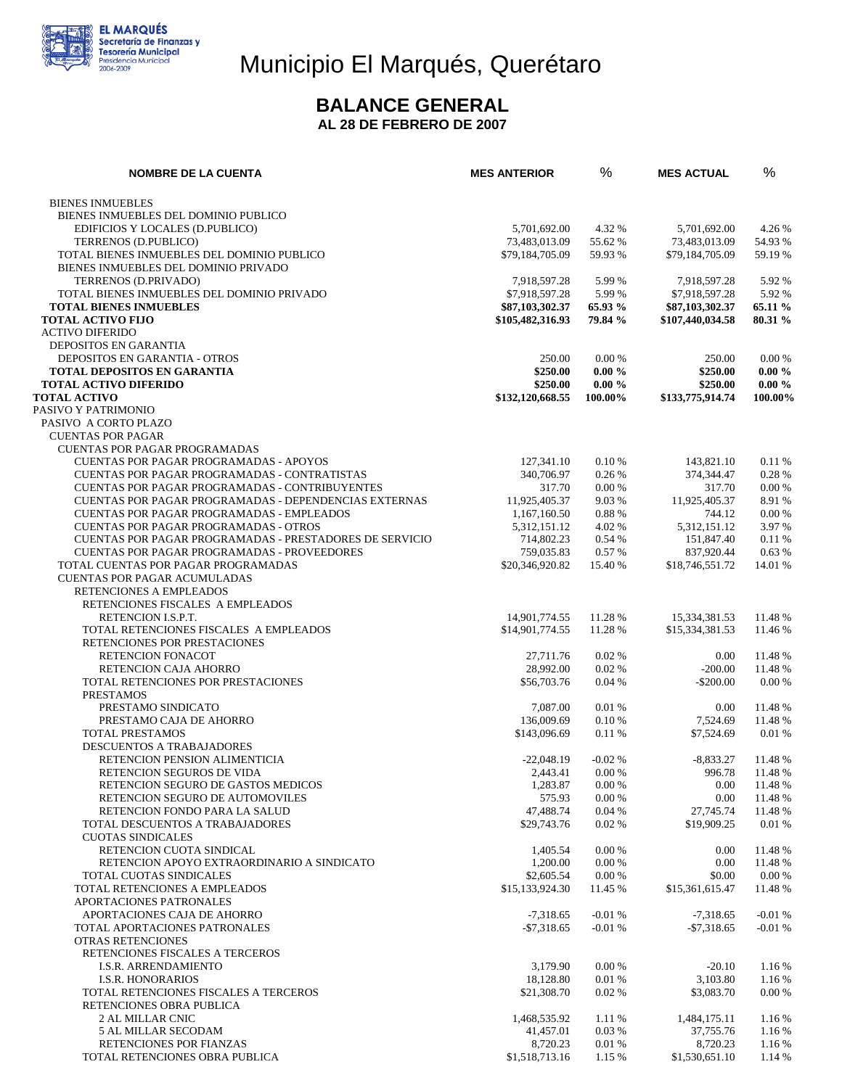

# Municipio El Marqués, Querétaro

### **BALANCE GENERAL**

**AL 28 DE FEBRERO DE 2007** 

| <b>NOMBRE DE LA CUENTA</b>                                                                            | <b>MES ANTERIOR</b>      | %                  | <b>MES ACTUAL</b>      | %                  |
|-------------------------------------------------------------------------------------------------------|--------------------------|--------------------|------------------------|--------------------|
| <b>BIENES INMUEBLES</b>                                                                               |                          |                    |                        |                    |
| BIENES INMUEBLES DEL DOMINIO PUBLICO                                                                  |                          |                    |                        |                    |
| EDIFICIOS Y LOCALES (D.PUBLICO)                                                                       | 5,701,692.00             | 4.32 %             | 5,701,692.00           | 4.26 %             |
| TERRENOS (D.PUBLICO)                                                                                  | 73,483,013.09            | 55.62 %            | 73,483,013.09          | 54.93 %            |
| TOTAL BIENES INMUEBLES DEL DOMINIO PUBLICO                                                            | \$79,184,705.09          | 59.93 %            | \$79,184,705.09        | 59.19 %            |
| BIENES INMUEBLES DEL DOMINIO PRIVADO                                                                  |                          |                    |                        |                    |
| TERRENOS (D.PRIVADO)                                                                                  | 7,918,597.28             | 5.99 %             | 7,918,597.28           | 5.92 %             |
| TOTAL BIENES INMUEBLES DEL DOMINIO PRIVADO                                                            | \$7,918,597.28           | 5.99 %             | \$7,918,597.28         | 5.92 %             |
| <b>TOTAL BIENES INMUEBLES</b><br><b>TOTAL ACTIVO FIJO</b>                                             | \$87,103,302.37          | 65.93 %<br>79.84 % | \$87,103,302.37        | 65.11 %<br>80.31 % |
| <b>ACTIVO DIFERIDO</b>                                                                                | \$105,482,316.93         |                    | \$107,440,034.58       |                    |
| <b>DEPOSITOS EN GARANTIA</b>                                                                          |                          |                    |                        |                    |
| DEPOSITOS EN GARANTIA - OTROS                                                                         | 250.00                   | 0.00 %             | 250.00                 | 0.00 %             |
| <b>TOTAL DEPOSITOS EN GARANTIA</b>                                                                    | \$250.00                 | $0.00 \%$          | \$250.00               | $0.00 \%$          |
| <b>TOTAL ACTIVO DIFERIDO</b>                                                                          | \$250.00                 | $0.00 \%$          | \$250.00               | $0.00 \%$          |
| <b>TOTAL ACTIVO</b>                                                                                   | \$132,120,668.55         | 100.00%            | \$133,775,914.74       | 100.00%            |
| PASIVO Y PATRIMONIO                                                                                   |                          |                    |                        |                    |
| PASIVO A CORTO PLAZO                                                                                  |                          |                    |                        |                    |
| <b>CUENTAS POR PAGAR</b>                                                                              |                          |                    |                        |                    |
| <b>CUENTAS POR PAGAR PROGRAMADAS</b>                                                                  |                          |                    |                        |                    |
| <b>CUENTAS POR PAGAR PROGRAMADAS - APOYOS</b>                                                         | 127,341.10               | 0.10%              | 143,821.10             | 0.11%              |
| CUENTAS POR PAGAR PROGRAMADAS - CONTRATISTAS<br><b>CUENTAS POR PAGAR PROGRAMADAS - CONTRIBUYENTES</b> | 340,706.97               | 0.26%              | 374,344.47<br>317.70   | 0.28 %             |
| CUENTAS POR PAGAR PROGRAMADAS - DEPENDENCIAS EXTERNAS                                                 | 317.70<br>11,925,405.37  | 0.00%<br>9.03%     | 11,925,405.37          | 0.00 %<br>8.91 %   |
| <b>CUENTAS POR PAGAR PROGRAMADAS - EMPLEADOS</b>                                                      | 1,167,160.50             | 0.88%              | 744.12                 | 0.00 %             |
| <b>CUENTAS POR PAGAR PROGRAMADAS - OTROS</b>                                                          | 5,312,151.12             | 4.02%              | 5,312,151.12           | 3.97 %             |
| CUENTAS POR PAGAR PROGRAMADAS - PRESTADORES DE SERVICIO                                               | 714,802.23               | 0.54%              | 151,847.40             | 0.11%              |
| <b>CUENTAS POR PAGAR PROGRAMADAS - PROVEEDORES</b>                                                    | 759,035.83               | 0.57%              | 837,920.44             | 0.63%              |
| TOTAL CUENTAS POR PAGAR PROGRAMADAS                                                                   | \$20,346,920.82          | 15.40 %            | \$18,746,551.72        | 14.01 %            |
| <b>CUENTAS POR PAGAR ACUMULADAS</b>                                                                   |                          |                    |                        |                    |
| RETENCIONES A EMPLEADOS                                                                               |                          |                    |                        |                    |
| RETENCIONES FISCALES A EMPLEADOS                                                                      |                          |                    |                        |                    |
| RETENCION I.S.P.T.                                                                                    | 14,901,774.55            | 11.28 %            | 15,334,381.53          | 11.48 %            |
| TOTAL RETENCIONES FISCALES A EMPLEADOS                                                                | \$14,901,774.55          | 11.28 %            | \$15,334,381.53        | 11.46 %            |
| RETENCIONES POR PRESTACIONES                                                                          |                          |                    |                        |                    |
| RETENCION FONACOT<br>RETENCION CAJA AHORRO                                                            | 27,711.76<br>28,992.00   | 0.02%<br>0.02%     | 0.00<br>$-200.00$      | 11.48 %<br>11.48 % |
| TOTAL RETENCIONES POR PRESTACIONES                                                                    | \$56,703.76              | 0.04%              | $-$ \$200.00           | 0.00 %             |
| <b>PRESTAMOS</b>                                                                                      |                          |                    |                        |                    |
| PRESTAMO SINDICATO                                                                                    | 7,087.00                 | 0.01 %             | 0.00                   | 11.48 %            |
| PRESTAMO CAJA DE AHORRO                                                                               | 136,009.69               | 0.10%              | 7,524.69               | 11.48 %            |
| TOTAL PRESTAMOS                                                                                       | \$143,096.69             | 0.11%              | \$7,524.69             | 0.01%              |
| DESCUENTOS A TRABAJADORES                                                                             |                          |                    |                        |                    |
| RETENCION PENSION ALIMENTICIA                                                                         | $-22,048.19$             | $-0.02%$           | $-8,833.27$            | 11.48 %            |
| RETENCION SEGUROS DE VIDA                                                                             | 2.443.41                 | 0.00%              | 996.78                 | 11.48 %            |
| RETENCION SEGURO DE GASTOS MEDICOS                                                                    | 1,283.87                 | 0.00 %             | 0.00                   | 11.48 %            |
| RETENCION SEGURO DE AUTOMOVILES<br>RETENCION FONDO PARA LA SALUD                                      | 575.93<br>47,488.74      | 0.00 %<br>0.04%    | 0.00<br>27.745.74      | 11.48 %<br>11.48 % |
| TOTAL DESCUENTOS A TRABAJADORES                                                                       | \$29,743.76              | 0.02%              | \$19,909.25            | 0.01%              |
| <b>CUOTAS SINDICALES</b>                                                                              |                          |                    |                        |                    |
| RETENCION CUOTA SINDICAL                                                                              | 1,405.54                 | 0.00 %             | 0.00                   | 11.48 %            |
| RETENCION APOYO EXTRAORDINARIO A SINDICATO                                                            | 1,200.00                 | 0.00 %             | 0.00                   | 11.48 %            |
| TOTAL CUOTAS SINDICALES                                                                               | \$2,605.54               | 0.00 %             | \$0.00                 | 0.00 %             |
| TOTAL RETENCIONES A EMPLEADOS                                                                         | \$15,133,924.30          | 11.45 %            | \$15,361,615.47        | 11.48 %            |
| APORTACIONES PATRONALES                                                                               |                          |                    |                        |                    |
| APORTACIONES CAJA DE AHORRO                                                                           | $-7,318.65$              | $-0.01%$           | $-7,318.65$            | $-0.01%$           |
| TOTAL APORTACIONES PATRONALES                                                                         | $-$7.318.65$             | $-0.01%$           | $-$7,318.65$           | $-0.01%$           |
| OTRAS RETENCIONES                                                                                     |                          |                    |                        |                    |
| RETENCIONES FISCALES A TERCEROS                                                                       |                          |                    |                        |                    |
| <b>I.S.R. ARRENDAMIENTO</b>                                                                           | 3,179.90                 | 0.00 %             | $-20.10$               | 1.16 %             |
| <b>I.S.R. HONORARIOS</b><br>TOTAL RETENCIONES FISCALES A TERCEROS                                     | 18,128.80<br>\$21,308.70 | 0.01%<br>0.02%     | 3,103.80<br>\$3,083.70 | 1.16 %<br>0.00 %   |
| RETENCIONES OBRA PUBLICA                                                                              |                          |                    |                        |                    |
| <b>2 AL MILLAR CNIC</b>                                                                               | 1,468,535.92             | 1.11 %             | 1,484,175.11           | 1.16 %             |
| 5 AL MILLAR SECODAM                                                                                   | 41,457.01                | 0.03%              | 37,755.76              | 1.16 %             |
| RETENCIONES POR FIANZAS                                                                               | 8,720.23                 | 0.01%              | 8,720.23               | 1.16 %             |
| TOTAL RETENCIONES OBRA PUBLICA                                                                        | \$1,518,713.16           | 1.15 %             | \$1,530,651.10         | 1.14 %             |